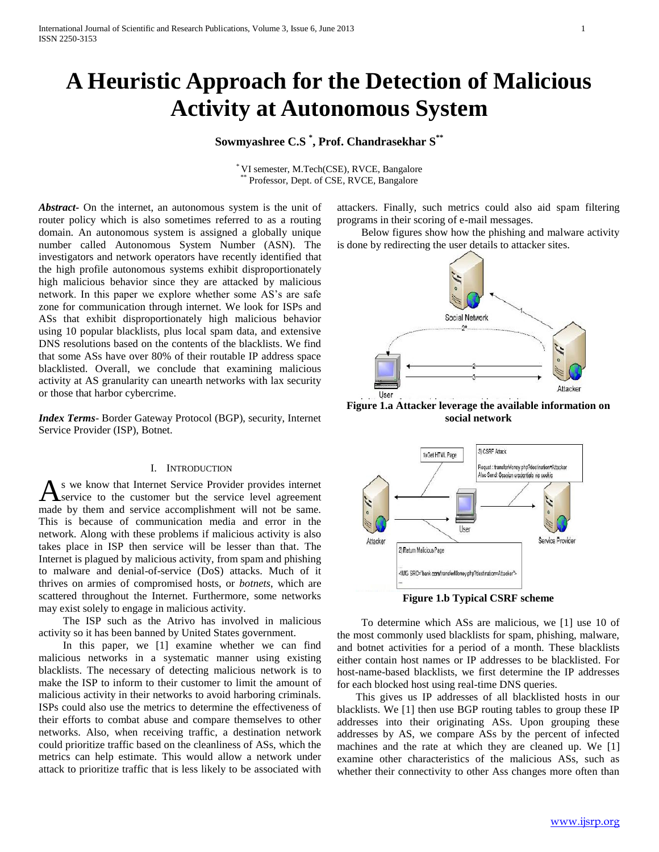# **A Heuristic Approach for the Detection of Malicious Activity at Autonomous System**

# **Sowmyashree C.S \* , Prof. Chandrasekhar S\*\***

\* VI semester, M.Tech(CSE), RVCE, Bangalore Professor, Dept. of CSE, RVCE, Bangalore

*Abstract***-** On the internet, an autonomous system is the unit of router policy which is also sometimes referred to as a routing domain. An autonomous system is assigned a globally unique number called Autonomous System Number (ASN). The investigators and network operators have recently identified that the high profile autonomous systems exhibit disproportionately high malicious behavior since they are attacked by malicious network. In this paper we explore whether some AS's are safe zone for communication through internet. We look for ISPs and ASs that exhibit disproportionately high malicious behavior using 10 popular blacklists, plus local spam data, and extensive DNS resolutions based on the contents of the blacklists. We find that some ASs have over 80% of their routable IP address space blacklisted. Overall, we conclude that examining malicious activity at AS granularity can unearth networks with lax security or those that harbor cybercrime.

*Index Terms*- Border Gateway Protocol (BGP), security, Internet Service Provider (ISP), Botnet.

#### I. INTRODUCTION

s we know that Internet Service Provider provides internet service to the customer but the service level agreement As we know that Internet Service Provider provides internet Service to the customer but the service level agreement made by them and service accomplishment will not be same. This is because of communication media and error in the network. Along with these problems if malicious activity is also takes place in ISP then service will be lesser than that. The Internet is plagued by malicious activity, from spam and phishing to malware and denial-of-service (DoS) attacks. Much of it thrives on armies of compromised hosts, or *botnets*, which are scattered throughout the Internet. Furthermore, some networks may exist solely to engage in malicious activity.

 The ISP such as the Atrivo has involved in malicious activity so it has been banned by United States government.

In this paper, we [1] examine whether we can find malicious networks in a systematic manner using existing blacklists. The necessary of detecting malicious network is to make the ISP to inform to their customer to limit the amount of malicious activity in their networks to avoid harboring criminals. ISPs could also use the metrics to determine the effectiveness of their efforts to combat abuse and compare themselves to other networks. Also, when receiving traffic, a destination network could prioritize traffic based on the cleanliness of ASs, which the metrics can help estimate. This would allow a network under attack to prioritize traffic that is less likely to be associated with

attackers. Finally, such metrics could also aid spam filtering programs in their scoring of e-mail messages.

 Below figures show how the phishing and malware activity is done by redirecting the user details to attacker sites.



**Figure 1.a Attacker leverage the available information on social network**



**Figure 1.b Typical CSRF scheme**

 To determine which ASs are malicious, we [1] use 10 of the most commonly used blacklists for spam, phishing, malware, and botnet activities for a period of a month. These blacklists either contain host names or IP addresses to be blacklisted. For host-name-based blacklists, we first determine the IP addresses for each blocked host using real-time DNS queries.

 This gives us IP addresses of all blacklisted hosts in our blacklists. We [1] then use BGP routing tables to group these IP addresses into their originating ASs. Upon grouping these addresses by AS, we compare ASs by the percent of infected machines and the rate at which they are cleaned up. We [1] examine other characteristics of the malicious ASs, such as whether their connectivity to other Ass changes more often than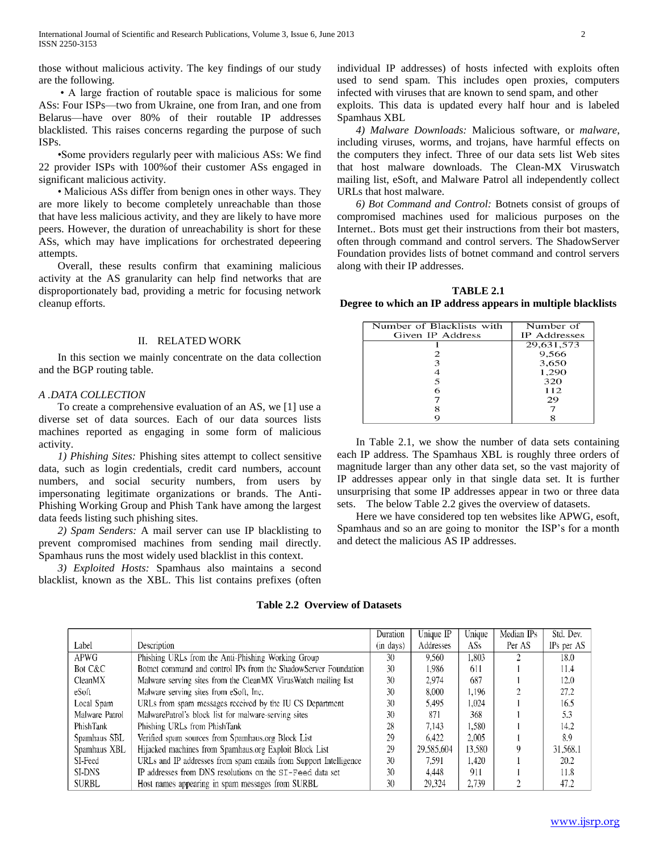those without malicious activity. The key findings of our study are the following.

 • A large fraction of routable space is malicious for some ASs: Four ISPs—two from Ukraine, one from Iran, and one from Belarus—have over 80% of their routable IP addresses blacklisted. This raises concerns regarding the purpose of such ISPs.

 •Some providers regularly peer with malicious ASs: We find 22 provider ISPs with 100%of their customer ASs engaged in significant malicious activity.

 • Malicious ASs differ from benign ones in other ways. They are more likely to become completely unreachable than those that have less malicious activity, and they are likely to have more peers. However, the duration of unreachability is short for these ASs, which may have implications for orchestrated depeering attempts.

 Overall, these results confirm that examining malicious activity at the AS granularity can help find networks that are disproportionately bad, providing a metric for focusing network cleanup efforts.

#### II. RELATED WORK

 In this section we mainly concentrate on the data collection and the BGP routing table.

#### *A .DATA COLLECTION*

 To create a comprehensive evaluation of an AS, we [1] use a diverse set of data sources. Each of our data sources lists machines reported as engaging in some form of malicious activity.

 *1) Phishing Sites:* Phishing sites attempt to collect sensitive data, such as login credentials, credit card numbers, account numbers, and social security numbers, from users by impersonating legitimate organizations or brands. The Anti-Phishing Working Group and Phish Tank have among the largest data feeds listing such phishing sites.

 *2) Spam Senders:* A mail server can use IP blacklisting to prevent compromised machines from sending mail directly. Spamhaus runs the most widely used blacklist in this context.

 *3) Exploited Hosts:* Spamhaus also maintains a second blacklist, known as the XBL. This list contains prefixes (often

individual IP addresses) of hosts infected with exploits often used to send spam. This includes open proxies, computers infected with viruses that are known to send spam, and other

exploits. This data is updated every half hour and is labeled Spamhaus XBL

 *4) Malware Downloads:* Malicious software, or *malware*, including viruses, worms, and trojans, have harmful effects on the computers they infect. Three of our data sets list Web sites that host malware downloads. The Clean-MX Viruswatch mailing list, eSoft, and Malware Patrol all independently collect URLs that host malware.

 *6) Bot Command and Control:* Botnets consist of groups of compromised machines used for malicious purposes on the Internet.. Bots must get their instructions from their bot masters, often through command and control servers. The ShadowServer Foundation provides lists of botnet command and control servers along with their IP addresses.

**TABLE 2.1**

**Degree to which an IP address appears in multiple blacklists**

| Number of Blacklists with | Number of           |  |  |
|---------------------------|---------------------|--|--|
| Given IP Address          | <b>IP</b> Addresses |  |  |
|                           | 29,631,573          |  |  |
|                           | 9,566               |  |  |
| 3                         | 3,650               |  |  |
|                           | 1,290               |  |  |
| 5                         | 320                 |  |  |
| 6                         | 112                 |  |  |
|                           | 29                  |  |  |
|                           |                     |  |  |
|                           |                     |  |  |

 In Table 2.1, we show the number of data sets containing each IP address. The Spamhaus XBL is roughly three orders of magnitude larger than any other data set, so the vast majority of IP addresses appear only in that single data set. It is further unsurprising that some IP addresses appear in two or three data sets. The below Table 2.2 gives the overview of datasets.

 Here we have considered top ten websites like APWG, esoft, Spamhaus and so an are going to monitor the ISP's for a month and detect the malicious AS IP addresses.

## **Table 2.2 Overview of Datasets**

|                |                                                                  | Duration       | Unique IP  | Unique | Median IPs | Std. Dev.  |
|----------------|------------------------------------------------------------------|----------------|------------|--------|------------|------------|
| Label          | Description                                                      | $(in \, days)$ | Addresses  | ASs    | Per AS     | IPs per AS |
| <b>APWG</b>    | Phishing URLs from the Anti-Phishing Working Group               | 30             | 9.560      | 1,803  |            | 18.0       |
| Bot C&C        | Botnet command and control IPs from the ShadowServer Foundation  | 30             | 1.986      | 611    |            | 11.4       |
| CleanMX        | Malware serving sites from the CleanMX Virus Watch mailing list  | 30             | 2.974      | 687    |            | 12.0       |
| eSoft          | Malware serving sites from eSoft, Inc.                           | 30             | 8,000      | 1,196  |            | 27.2       |
| Local Spam     | URLs from spam messages received by the IU CS Department         | 30             | 5.495      | 1.024  |            | 16.5       |
| Malware Patrol | MalwarePatrol's block list for malware-serving sites             | 30             | 871        | 368    |            | 5.3        |
| PhishTank      | Phishing URLs from PhishTank                                     | 28             | 7,143      | 1,580  |            | 14.2       |
| Spamhaus SBL   | Verified spam sources from Spamhaus.org Block List               | 29             | 6.422      | 2.005  |            | 8.9        |
| Spamhaus XBL   | Hijacked machines from Spamhaus.org Exploit Block List           | 29             | 29,585,604 | 13.580 |            | 31.568.1   |
| SI-Feed        | URLs and IP addresses from spam emails from Support Intelligence | 30             | 7.591      | 1.420  |            | 20.2       |
| SI-DNS         | IP addresses from DNS resolutions on the ST-Feed data set        | 30             | 4.448      | 911    |            | 11.8       |
| <b>SURBL</b>   | Host names appearing in spam messages from SURBL                 | 30             | 29,324     | 2.739  |            | 47.2       |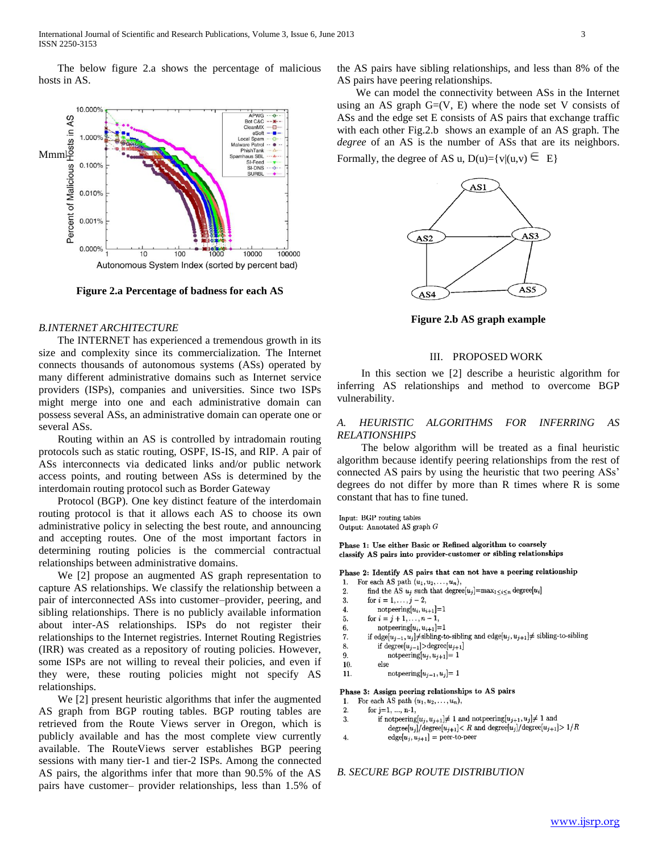The below figure 2.a shows the percentage of malicious hosts in AS.



**Figure 2.a Percentage of badness for each AS**

# *B.INTERNET ARCHITECTURE*

 The INTERNET has experienced a tremendous growth in its size and complexity since its commercialization. The Internet connects thousands of autonomous systems (ASs) operated by many different administrative domains such as Internet service providers (ISPs), companies and universities. Since two ISPs might merge into one and each administrative domain can possess several ASs, an administrative domain can operate one or several ASs.

 Routing within an AS is controlled by intradomain routing protocols such as static routing, OSPF, IS-IS, and RIP. A pair of ASs interconnects via dedicated links and/or public network access points, and routing between ASs is determined by the interdomain routing protocol such as Border Gateway

 Protocol (BGP). One key distinct feature of the interdomain routing protocol is that it allows each AS to choose its own administrative policy in selecting the best route, and announcing and accepting routes. One of the most important factors in determining routing policies is the commercial contractual relationships between administrative domains.

 We [2] propose an augmented AS graph representation to capture AS relationships. We classify the relationship between a pair of interconnected ASs into customer–provider, peering, and sibling relationships. There is no publicly available information about inter-AS relationships. ISPs do not register their relationships to the Internet registries. Internet Routing Registries (IRR) was created as a repository of routing policies. However, some ISPs are not willing to reveal their policies, and even if they were, these routing policies might not specify AS relationships.

 We [2] present heuristic algorithms that infer the augmented AS graph from BGP routing tables. BGP routing tables are retrieved from the Route Views server in Oregon, which is publicly available and has the most complete view currently available. The RouteViews server establishes BGP peering sessions with many tier-1 and tier-2 ISPs. Among the connected AS pairs, the algorithms infer that more than 90.5% of the AS pairs have customer– provider relationships, less than 1.5% of the AS pairs have sibling relationships, and less than 8% of the AS pairs have peering relationships.

 We can model the connectivity between ASs in the Internet using an AS graph  $G=(V, E)$  where the node set V consists of ASs and the edge set E consists of AS pairs that exchange traffic with each other Fig.2.b shows an example of an AS graph. The *degree* of an AS is the number of ASs that are its neighbors. Formally, the degree of AS u,  $D(u)=\{v|(u,v) \subseteq E\}$ 



**Figure 2.b AS graph example**

#### III. PROPOSED WORK

 In this section we [2] describe a heuristic algorithm for inferring AS relationships and method to overcome BGP vulnerability.

#### *A. HEURISTIC ALGORITHMS FOR INFERRING AS RELATIONSHIPS*

 The below algorithm will be treated as a final heuristic algorithm because identify peering relationships from the rest of connected AS pairs by using the heuristic that two peering ASs' degrees do not differ by more than R times where R is some constant that has to fine tuned.

Input: BGP routing tables Output: Annotated AS graph G

Phase 1: Use either Basic or Refined algorithm to coarsely classify AS pairs into provider-customer or sibling relationships

Phase 2: Identify AS pairs that can not have a peering relationship

For each AS path  $(u_1, u_2, \ldots, u_n)$ , 1.  $\overline{2}$ find the AS  $u_j$  such that degree[ $u_j$ ]=max<sub>1</sub>  $\leq i \leq n$  degree[ $u_i$ ] for  $i = 1, ..., j - 2$ ,  $\mathbf{3}$  $\operatorname{notperring}[u_i, u_{i+1}]\text{=}1$  $\overline{\mathbf{4}}$ 5. for  $i = j + 1, ..., n - 1$ ,  $6\phantom{1}6$  $\text{notpeering}[u_i, u_{i+1}] = 1$ if edge[ $u_{j-1}, u_j$ ] $\neq$ sibling-to-sibling and edge[ $u_j, u_{j+1}$ ] $\neq$  sibling-to-sibling 7. if degree $[u_{j-1}]$ >degree $[u_{j+1}]$ 8. 9.  $\text{notpeering}[u_j, u_{j+1}] = 1$  $10.$ else  $\text{notpeering}[u_{j-1},u_j]\text{= 1}$  $11.$ Phase 3: Assign peering relationships to AS pairs

For each AS path  $(u_1, u_2, \ldots, u_n)$ , 1.

 $\overline{2}$ for  $j=1, ..., n-1$ ,

 $\overline{4}$ .

- if notpeering $[u_j, u_{j+1}] \neq 1$  and notpeering $[u_{j+1}, u_j] \neq 1$  and 3.  $\mathrm{degree}[u_j]/\mathrm{degree}[u_{j+1}] < R$  and  $\mathrm{degree}[u_j]/\mathrm{degree}[u_{j+1}] > 1/R$ 
	- $\text{edge}[u_j, u_{j+1}] = \text{peer-to-peer}$

#### *B. SECURE BGP ROUTE DISTRIBUTION*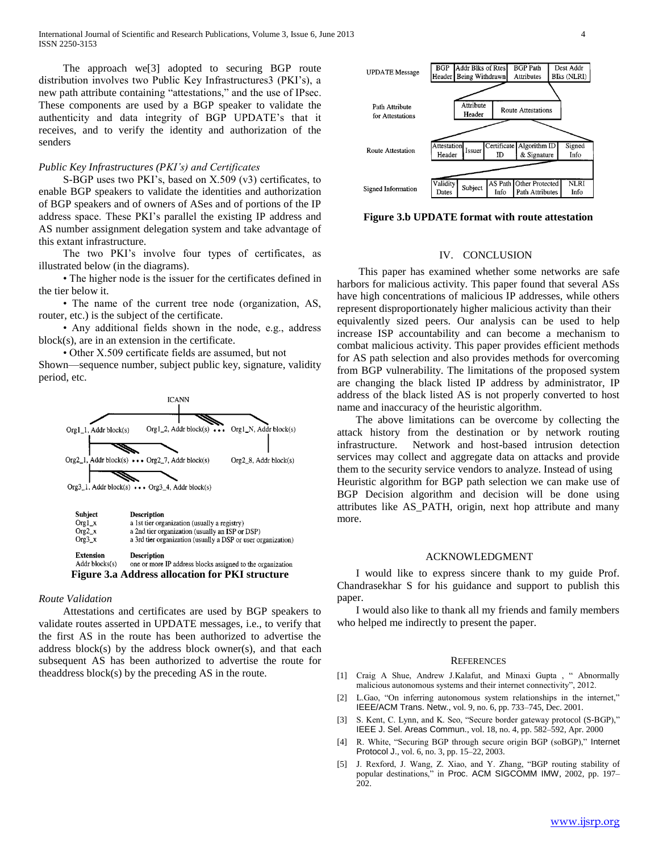The approach we[3] adopted to securing BGP route distribution involves two Public Key Infrastructures3 (PKI's), a new path attribute containing "attestations," and the use of IPsec. These components are used by a BGP speaker to validate the authenticity and data integrity of BGP UPDATE's that it receives, and to verify the identity and authorization of the senders

#### *Public Key Infrastructures (PKI's) and Certificates*

 S-BGP uses two PKI's, based on X.509 (v3) certificates, to enable BGP speakers to validate the identities and authorization of BGP speakers and of owners of ASes and of portions of the IP address space. These PKI's parallel the existing IP address and AS number assignment delegation system and take advantage of this extant infrastructure.

 The two PKI's involve four types of certificates, as illustrated below (in the diagrams).

 • The higher node is the issuer for the certificates defined in the tier below it.

• The name of the current tree node (organization, AS, router, etc.) is the subject of the certificate.

 • Any additional fields shown in the node, e.g., address block(s), are in an extension in the certificate.

• Other X.509 certificate fields are assumed, but not

Shown—sequence number, subject public key, signature, validity period, etc.





**Figure 3.a Address allocation for PKI structure**

# *Route Validation*

 Attestations and certificates are used by BGP speakers to validate routes asserted in UPDATE messages, i.e., to verify that the first AS in the route has been authorized to advertise the address block(s) by the address block owner(s), and that each subsequent AS has been authorized to advertise the route for theaddress block(s) by the preceding AS in the route.



**Figure 3.b UPDATE format with route attestation**

#### IV. CONCLUSION

 This paper has examined whether some networks are safe harbors for malicious activity. This paper found that several ASs have high concentrations of malicious IP addresses, while others represent disproportionately higher malicious activity than their equivalently sized peers. Our analysis can be used to help increase ISP accountability and can become a mechanism to combat malicious activity. This paper provides efficient methods for AS path selection and also provides methods for overcoming from BGP vulnerability. The limitations of the proposed system are changing the black listed IP address by administrator, IP address of the black listed AS is not properly converted to host name and inaccuracy of the heuristic algorithm.

 The above limitations can be overcome by collecting the attack history from the destination or by network routing infrastructure. Network and host-based intrusion detection services may collect and aggregate data on attacks and provide them to the security service vendors to analyze. Instead of using Heuristic algorithm for BGP path selection we can make use of BGP Decision algorithm and decision will be done using attributes like AS\_PATH, origin, next hop attribute and many more.

# ACKNOWLEDGMENT

 I would like to express sincere thank to my guide Prof. Chandrasekhar S for his guidance and support to publish this paper.

 I would also like to thank all my friends and family members who helped me indirectly to present the paper.

#### **REFERENCES**

- [1] Craig A Shue, Andrew J.Kalafut, and Minaxi Gupta, "Abnormally malicious autonomous systems and their internet connectivity", 2012.
- [2] L.Gao, "On inferring autonomous system relationships in the internet," IEEE/ACM Trans. Netw., vol. 9, no. 6, pp. 733–745, Dec. 2001.
- [3] S. Kent, C. Lynn, and K. Seo, "Secure border gateway protocol (S-BGP)," IEEE J. Sel. Areas Commun., vol. 18, no. 4, pp. 582–592, Apr. 2000
- [4] R. White, "Securing BGP through secure origin BGP (soBGP)," Internet Protocol J., vol. 6, no. 3, pp. 15–22, 2003.
- [5] J. Rexford, J. Wang, Z. Xiao, and Y. Zhang, "BGP routing stability of popular destinations," in Proc. ACM SIGCOMM IMW, 2002, pp. 197-202.